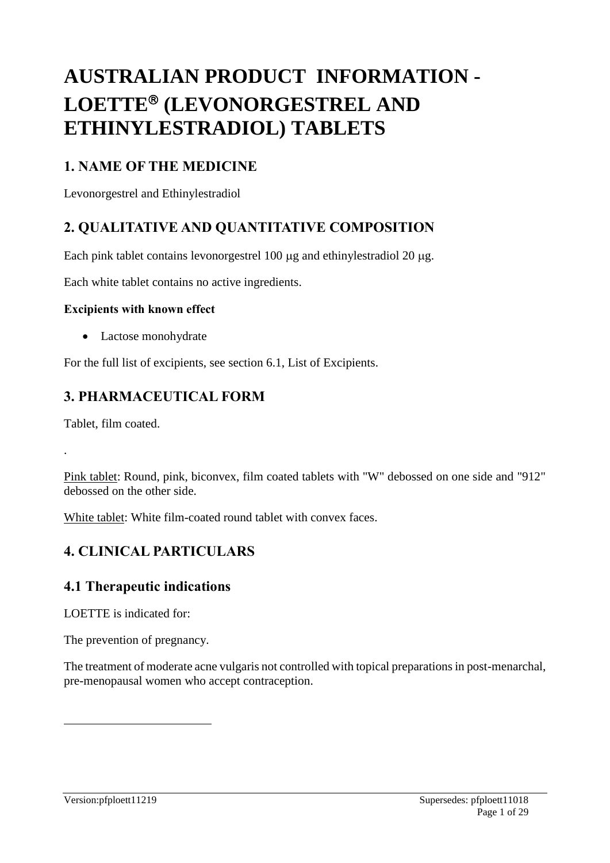# **AUSTRALIAN PRODUCT INFORMATION - LOETTE<sup>®</sup>** (LEVONORGESTREL AND **ETHINYLESTRADIOL) TABLETS**

# **1. NAME OF THE MEDICINE**

Levonorgestrel and Ethinylestradiol

# **2. QUALITATIVE AND QUANTITATIVE COMPOSITION**

Each pink tablet contains levonorgestrel  $100 \mu$ g and ethinylestradiol  $20 \mu$ g.

Each white tablet contains no active ingredients.

### **Excipients with known effect**

• Lactose monohydrate

For the full list of excipients, see section 6.1, List of Excipients.

# **3. PHARMACEUTICAL FORM**

Tablet, film coated.

.

 $\overline{a}$ 

Pink tablet: Round, pink, biconvex, film coated tablets with "W" debossed on one side and "912" debossed on the other side.

White tablet: White film-coated round tablet with convex faces.

# **4. CLINICAL PARTICULARS**

# **4.1 Therapeutic indications**

LOETTE is indicated for:

The prevention of pregnancy.

The treatment of moderate acne vulgaris not controlled with topical preparations in post-menarchal, pre-menopausal women who accept contraception.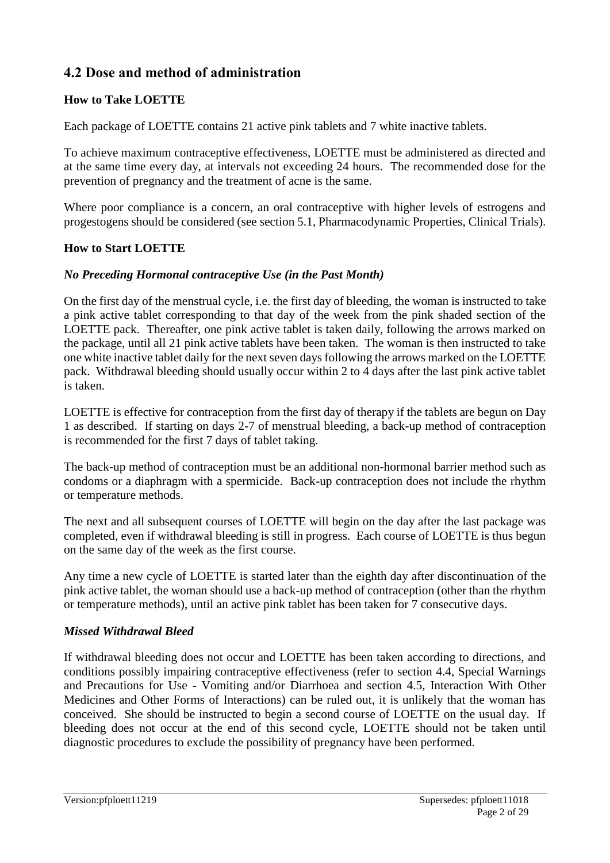# **4.2 Dose and method of administration**

# **How to Take LOETTE**

Each package of LOETTE contains 21 active pink tablets and 7 white inactive tablets.

To achieve maximum contraceptive effectiveness, LOETTE must be administered as directed and at the same time every day, at intervals not exceeding 24 hours. The recommended dose for the prevention of pregnancy and the treatment of acne is the same.

Where poor compliance is a concern, an oral contraceptive with higher levels of estrogens and progestogens should be considered (see section 5.1, Pharmacodynamic Properties, Clinical Trials).

## **How to Start LOETTE**

## *No Preceding Hormonal contraceptive Use (in the Past Month)*

On the first day of the menstrual cycle, i.e. the first day of bleeding, the woman is instructed to take a pink active tablet corresponding to that day of the week from the pink shaded section of the LOETTE pack. Thereafter, one pink active tablet is taken daily, following the arrows marked on the package, until all 21 pink active tablets have been taken. The woman is then instructed to take one white inactive tablet daily for the next seven days following the arrows marked on the LOETTE pack. Withdrawal bleeding should usually occur within 2 to 4 days after the last pink active tablet is taken.

LOETTE is effective for contraception from the first day of therapy if the tablets are begun on Day 1 as described. If starting on days 2-7 of menstrual bleeding, a back-up method of contraception is recommended for the first 7 days of tablet taking.

The back-up method of contraception must be an additional non-hormonal barrier method such as condoms or a diaphragm with a spermicide. Back-up contraception does not include the rhythm or temperature methods.

The next and all subsequent courses of LOETTE will begin on the day after the last package was completed, even if withdrawal bleeding is still in progress. Each course of LOETTE is thus begun on the same day of the week as the first course.

Any time a new cycle of LOETTE is started later than the eighth day after discontinuation of the pink active tablet, the woman should use a back-up method of contraception (other than the rhythm or temperature methods), until an active pink tablet has been taken for 7 consecutive days.

## *Missed Withdrawal Bleed*

If withdrawal bleeding does not occur and LOETTE has been taken according to directions, and conditions possibly impairing contraceptive effectiveness (refer to section 4.4, Special Warnings and Precautions for Use **-** Vomiting and/or Diarrhoea and section 4.5, Interaction With Other Medicines and Other Forms of Interactions) can be ruled out, it is unlikely that the woman has conceived. She should be instructed to begin a second course of LOETTE on the usual day. If bleeding does not occur at the end of this second cycle, LOETTE should not be taken until diagnostic procedures to exclude the possibility of pregnancy have been performed.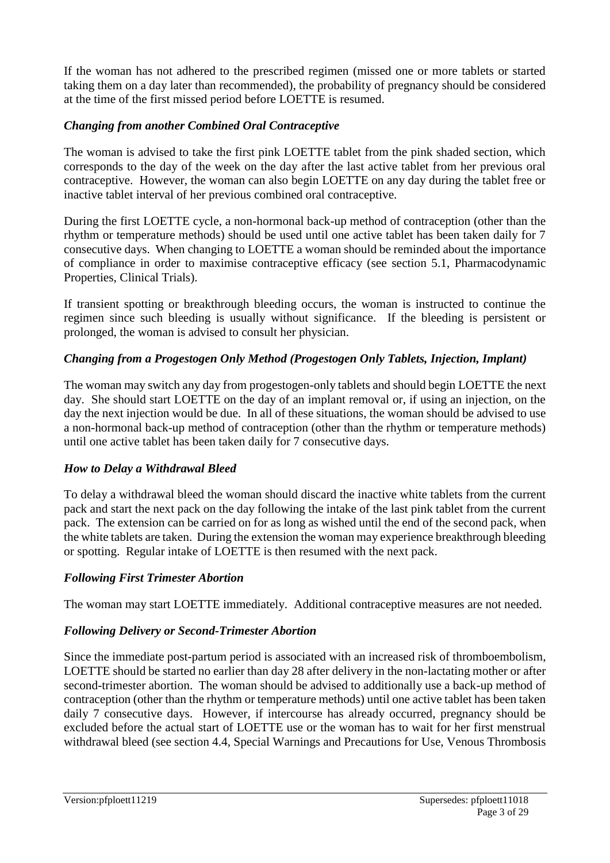If the woman has not adhered to the prescribed regimen (missed one or more tablets or started taking them on a day later than recommended), the probability of pregnancy should be considered at the time of the first missed period before LOETTE is resumed.

# *Changing from another Combined Oral Contraceptive*

The woman is advised to take the first pink LOETTE tablet from the pink shaded section, which corresponds to the day of the week on the day after the last active tablet from her previous oral contraceptive. However, the woman can also begin LOETTE on any day during the tablet free or inactive tablet interval of her previous combined oral contraceptive.

During the first LOETTE cycle, a non-hormonal back-up method of contraception (other than the rhythm or temperature methods) should be used until one active tablet has been taken daily for 7 consecutive days. When changing to LOETTE a woman should be reminded about the importance of compliance in order to maximise contraceptive efficacy (see section 5.1, Pharmacodynamic Properties, Clinical Trials).

If transient spotting or breakthrough bleeding occurs, the woman is instructed to continue the regimen since such bleeding is usually without significance. If the bleeding is persistent or prolonged, the woman is advised to consult her physician.

# *Changing from a Progestogen Only Method (Progestogen Only Tablets, Injection, Implant)*

The woman may switch any day from progestogen-only tablets and should begin LOETTE the next day. She should start LOETTE on the day of an implant removal or, if using an injection, on the day the next injection would be due. In all of these situations, the woman should be advised to use a non-hormonal back-up method of contraception (other than the rhythm or temperature methods) until one active tablet has been taken daily for 7 consecutive days.

## *How to Delay a Withdrawal Bleed*

To delay a withdrawal bleed the woman should discard the inactive white tablets from the current pack and start the next pack on the day following the intake of the last pink tablet from the current pack. The extension can be carried on for as long as wished until the end of the second pack, when the white tablets are taken. During the extension the woman may experience breakthrough bleeding or spotting. Regular intake of LOETTE is then resumed with the next pack.

## *Following First Trimester Abortion*

The woman may start LOETTE immediately. Additional contraceptive measures are not needed.

## *Following Delivery or Second-Trimester Abortion*

Since the immediate post-partum period is associated with an increased risk of thromboembolism, LOETTE should be started no earlier than day 28 after delivery in the non-lactating mother or after second-trimester abortion. The woman should be advised to additionally use a back-up method of contraception (other than the rhythm or temperature methods) until one active tablet has been taken daily 7 consecutive days. However, if intercourse has already occurred, pregnancy should be excluded before the actual start of LOETTE use or the woman has to wait for her first menstrual withdrawal bleed (see section 4.4, Special Warnings and Precautions for Use, Venous Thrombosis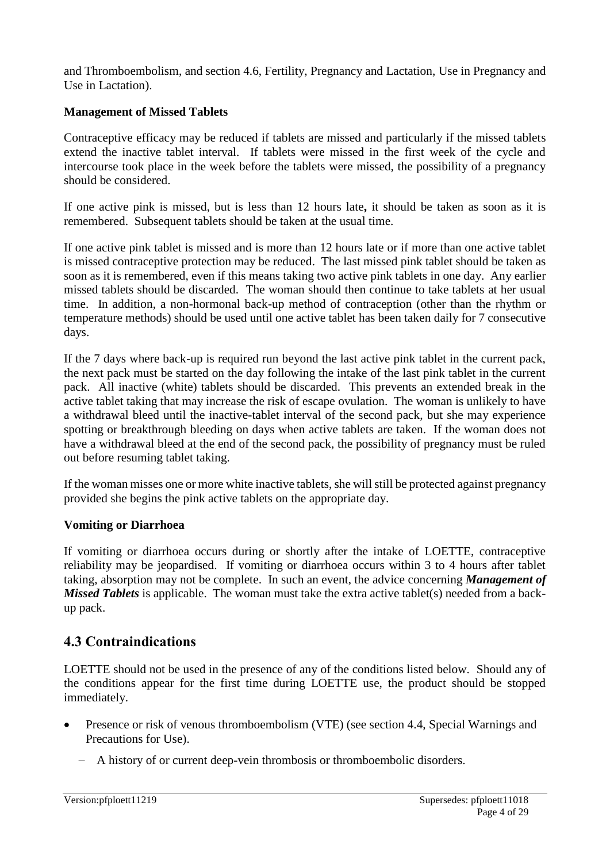and Thromboembolism, and section 4.6, Fertility, Pregnancy and Lactation, Use in Pregnancy and Use in Lactation).

### **Management of Missed Tablets**

Contraceptive efficacy may be reduced if tablets are missed and particularly if the missed tablets extend the inactive tablet interval. If tablets were missed in the first week of the cycle and intercourse took place in the week before the tablets were missed, the possibility of a pregnancy should be considered.

If one active pink is missed, but is less than 12 hours late**,** it should be taken as soon as it is remembered. Subsequent tablets should be taken at the usual time.

If one active pink tablet is missed and is more than 12 hours late or if more than one active tablet is missed contraceptive protection may be reduced. The last missed pink tablet should be taken as soon as it is remembered, even if this means taking two active pink tablets in one day. Any earlier missed tablets should be discarded. The woman should then continue to take tablets at her usual time. In addition, a non-hormonal back-up method of contraception (other than the rhythm or temperature methods) should be used until one active tablet has been taken daily for 7 consecutive days.

If the 7 days where back-up is required run beyond the last active pink tablet in the current pack, the next pack must be started on the day following the intake of the last pink tablet in the current pack. All inactive (white) tablets should be discarded. This prevents an extended break in the active tablet taking that may increase the risk of escape ovulation. The woman is unlikely to have a withdrawal bleed until the inactive-tablet interval of the second pack, but she may experience spotting or breakthrough bleeding on days when active tablets are taken. If the woman does not have a withdrawal bleed at the end of the second pack, the possibility of pregnancy must be ruled out before resuming tablet taking.

If the woman misses one or more white inactive tablets, she will still be protected against pregnancy provided she begins the pink active tablets on the appropriate day.

#### **Vomiting or Diarrhoea**

If vomiting or diarrhoea occurs during or shortly after the intake of LOETTE, contraceptive reliability may be jeopardised. If vomiting or diarrhoea occurs within 3 to 4 hours after tablet taking, absorption may not be complete. In such an event, the advice concerning *Management of Missed Tablets* is applicable. The woman must take the extra active tablet(s) needed from a backup pack.

# **4.3 Contraindications**

LOETTE should not be used in the presence of any of the conditions listed below. Should any of the conditions appear for the first time during LOETTE use, the product should be stopped immediately.

- Presence or risk of venous thromboembolism (VTE) (see section 4.4, Special Warnings and Precautions for Use).
	- A history of or current deep-vein thrombosis or thromboembolic disorders.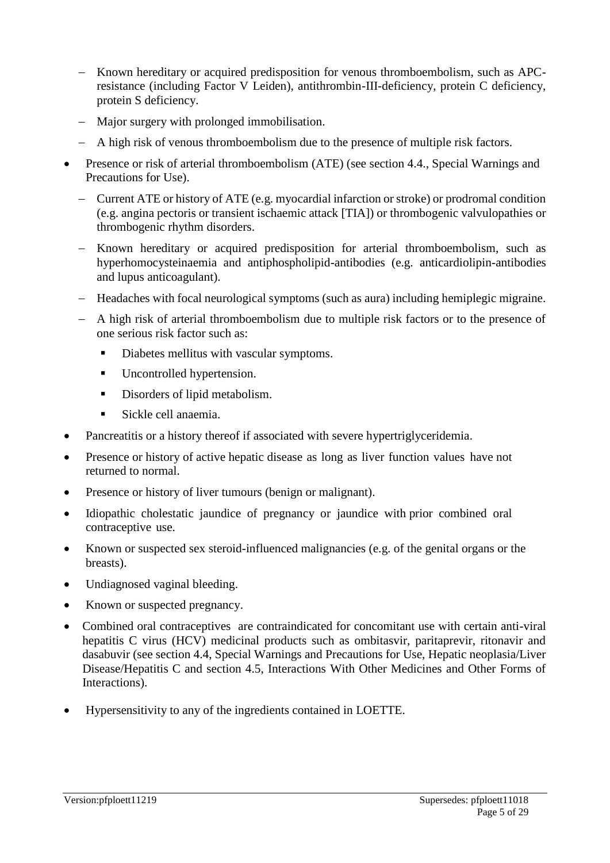- Known hereditary or acquired predisposition for venous thromboembolism, such as APCresistance (including Factor V Leiden), antithrombin-III-deficiency, protein C deficiency, protein S deficiency.
- Major surgery with prolonged immobilisation.
- A high risk of venous thromboembolism due to the presence of multiple risk factors.
- Presence or risk of arterial thromboembolism (ATE) (see section 4.4., Special Warnings and Precautions for Use).
	- Current ATE or history of ATE (e.g. myocardial infarction or stroke) or prodromal condition (e.g. angina pectoris or transient ischaemic attack [TIA]) or thrombogenic valvulopathies or thrombogenic rhythm disorders.
	- Known hereditary or acquired predisposition for arterial thromboembolism, such as hyperhomocysteinaemia and antiphospholipid-antibodies (e.g. anticardiolipin-antibodies and lupus anticoagulant).
	- Headaches with focal neurological symptoms (such as aura) including hemiplegic migraine.
	- A high risk of arterial thromboembolism due to multiple risk factors or to the presence of one serious risk factor such as:
		- Diabetes mellitus with vascular symptoms.
		- Uncontrolled hypertension.
		- Disorders of lipid metabolism.
		- Sickle cell anaemia.
- Pancreatitis or a history thereof if associated with severe hypertriglyceridemia.
- Presence or history of active hepatic disease as long as liver function values have not returned to normal.
- Presence or history of liver tumours (benign or malignant).
- Idiopathic cholestatic jaundice of pregnancy or jaundice with prior combined oral contraceptive use.
- Known or suspected sex steroid-influenced malignancies (e.g. of the genital organs or the breasts).
- Undiagnosed vaginal bleeding.
- Known or suspected pregnancy.
- Combined oral contraceptives are contraindicated for concomitant use with certain anti-viral hepatitis C virus (HCV) medicinal products such as ombitasvir, paritaprevir, ritonavir and dasabuvir (see section 4.4, Special Warnings and Precautions for Use, Hepatic neoplasia/Liver Disease/Hepatitis C and section 4.5, Interactions With Other Medicines and Other Forms of Interactions).
- Hypersensitivity to any of the ingredients contained in LOETTE.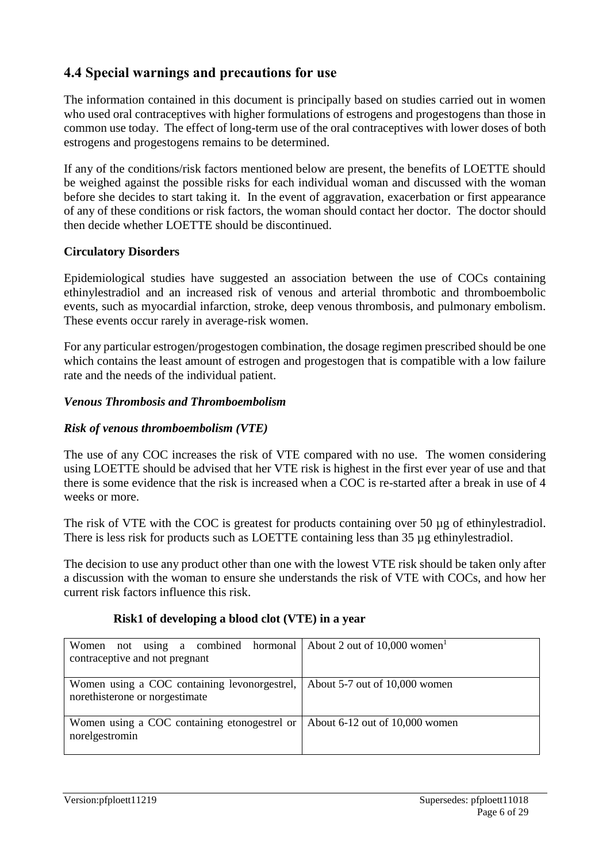# **4.4 Special warnings and precautions for use**

The information contained in this document is principally based on studies carried out in women who used oral contraceptives with higher formulations of estrogens and progestogens than those in common use today. The effect of long-term use of the oral contraceptives with lower doses of both estrogens and progestogens remains to be determined.

If any of the conditions/risk factors mentioned below are present, the benefits of LOETTE should be weighed against the possible risks for each individual woman and discussed with the woman before she decides to start taking it. In the event of aggravation, exacerbation or first appearance of any of these conditions or risk factors, the woman should contact her doctor. The doctor should then decide whether LOETTE should be discontinued.

## **Circulatory Disorders**

Epidemiological studies have suggested an association between the use of COCs containing ethinylestradiol and an increased risk of venous and arterial thrombotic and thromboembolic events, such as myocardial infarction, stroke, deep venous thrombosis, and pulmonary embolism. These events occur rarely in average-risk women.

For any particular estrogen/progestogen combination, the dosage regimen prescribed should be one which contains the least amount of estrogen and progestogen that is compatible with a low failure rate and the needs of the individual patient.

### *Venous Thrombosis and Thromboembolism*

## *Risk of venous thromboembolism (VTE)*

The use of any COC increases the risk of VTE compared with no use. The women considering using LOETTE should be advised that her VTE risk is highest in the first ever year of use and that there is some evidence that the risk is increased when a COC is re-started after a break in use of 4 weeks or more.

The risk of VTE with the COC is greatest for products containing over 50 µg of ethinylestradiol. There is less risk for products such as LOETTE containing less than 35 µg ethinylestradiol.

The decision to use any product other than one with the lowest VTE risk should be taken only after a discussion with the woman to ensure she understands the risk of VTE with COCs, and how her current risk factors influence this risk.

| Women not using a combined hormonal About 2 out of $10,000$ women <sup>1</sup><br>contraceptive and not pregnant |                                |
|------------------------------------------------------------------------------------------------------------------|--------------------------------|
| Women using a COC containing levonorgestrel, About 5-7 out of 10,000 women<br>norethisterone or norgestimate     |                                |
| Women using a COC containing etonogestrel or<br>norelgestromin                                                   | About 6-12 out of 10,000 women |

#### **Risk1 of developing a blood clot (VTE) in a year**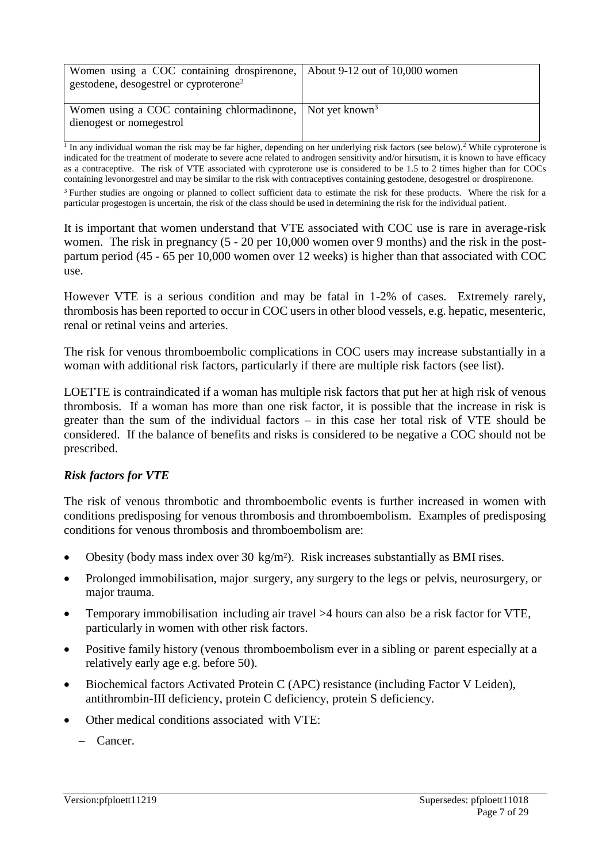| Women using a COC containing drospire none, About 9-12 out of 10,000 women<br>gestodene, desogestrel or cyproterone <sup>2</sup> |  |
|----------------------------------------------------------------------------------------------------------------------------------|--|
| Women using a COC containing chlormadinone, Not yet known <sup>3</sup><br>dienogest or nomegestrol                               |  |

<sup>1</sup> In any individual woman the risk may be far higher, depending on her underlying risk factors (see below).<sup>2</sup> While cyproterone is indicated for the treatment of moderate to severe acne related to androgen sensitivity and/or hirsutism, it is known to have efficacy as a contraceptive. The risk of VTE associated with cyproterone use is considered to be 1.5 to 2 times higher than for COCs containing levonorgestrel and may be similar to the risk with contraceptives containing gestodene, desogestrel or drospirenone.

<sup>3</sup> Further studies are ongoing or planned to collect sufficient data to estimate the risk for these products. Where the risk for a particular progestogen is uncertain, the risk of the class should be used in determining the risk for the individual patient.

It is important that women understand that VTE associated with COC use is rare in average-risk women. The risk in pregnancy (5 - 20 per 10,000 women over 9 months) and the risk in the postpartum period (45 - 65 per 10,000 women over 12 weeks) is higher than that associated with COC use.

However VTE is a serious condition and may be fatal in 1-2% of cases. Extremely rarely, thrombosis has been reported to occur in COC users in other blood vessels, e.g. hepatic, mesenteric, renal or retinal veins and arteries.

The risk for venous thromboembolic complications in COC users may increase substantially in a woman with additional risk factors, particularly if there are multiple risk factors (see list).

LOETTE is contraindicated if a woman has multiple risk factors that put her at high risk of venous thrombosis. If a woman has more than one risk factor, it is possible that the increase in risk is greater than the sum of the individual factors – in this case her total risk of VTE should be considered. If the balance of benefits and risks is considered to be negative a COC should not be prescribed.

## *Risk factors for VTE*

The risk of venous thrombotic and thromboembolic events is further increased in women with conditions predisposing for venous thrombosis and thromboembolism. Examples of predisposing conditions for venous thrombosis and thromboembolism are:

- Obesity (body mass index over 30 kg/m²). Risk increases substantially as BMI rises.
- Prolonged immobilisation, major surgery, any surgery to the legs or pelvis, neurosurgery, or major trauma.
- Temporary immobilisation including air travel >4 hours can also be a risk factor for VTE, particularly in women with other risk factors.
- Positive family history (venous thromboembolism ever in a sibling or parent especially at a relatively early age e.g. before 50).
- Biochemical factors Activated Protein C (APC) resistance (including Factor V Leiden), antithrombin-III deficiency, protein C deficiency, protein S deficiency.
- Other medical conditions associated with VTE:
	- Cancer.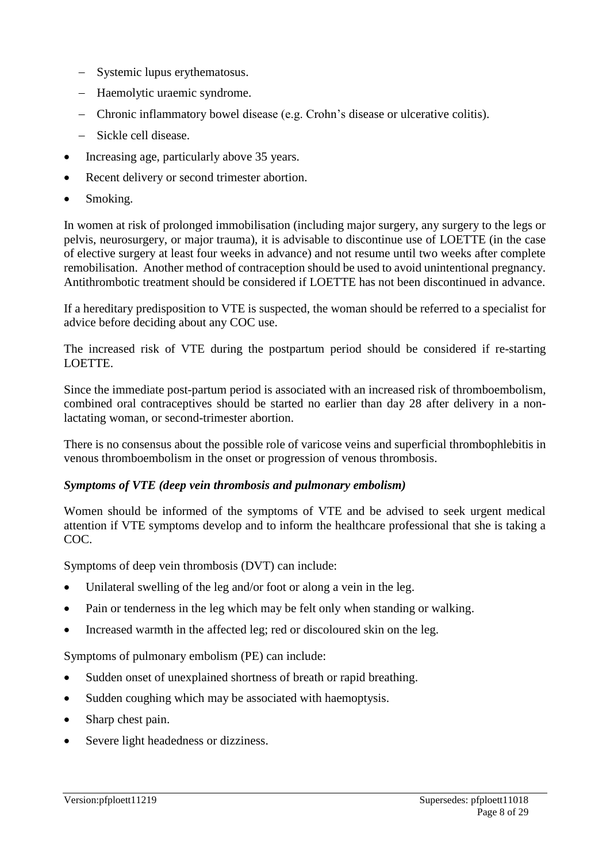- Systemic lupus erythematosus.
- Haemolytic uraemic syndrome.
- Chronic inflammatory bowel disease (e.g. Crohn's disease or ulcerative colitis).
- Sickle cell disease.
- Increasing age, particularly above 35 years.
- Recent delivery or second trimester abortion.
- Smoking.

In women at risk of prolonged immobilisation (including major surgery, any surgery to the legs or pelvis, neurosurgery, or major trauma), it is advisable to discontinue use of LOETTE (in the case of elective surgery at least four weeks in advance) and not resume until two weeks after complete remobilisation. Another method of contraception should be used to avoid unintentional pregnancy. Antithrombotic treatment should be considered if LOETTE has not been discontinued in advance.

If a hereditary predisposition to VTE is suspected, the woman should be referred to a specialist for advice before deciding about any COC use.

The increased risk of VTE during the postpartum period should be considered if re-starting LOETTE.

Since the immediate post-partum period is associated with an increased risk of thromboembolism, combined oral contraceptives should be started no earlier than day 28 after delivery in a nonlactating woman, or second-trimester abortion.

There is no consensus about the possible role of varicose veins and superficial thrombophlebitis in venous thromboembolism in the onset or progression of venous thrombosis.

#### *Symptoms of VTE (deep vein thrombosis and pulmonary embolism)*

Women should be informed of the symptoms of VTE and be advised to seek urgent medical attention if VTE symptoms develop and to inform the healthcare professional that she is taking a COC.

Symptoms of deep vein thrombosis (DVT) can include:

- Unilateral swelling of the leg and/or foot or along a vein in the leg.
- Pain or tenderness in the leg which may be felt only when standing or walking.
- Increased warmth in the affected leg; red or discoloured skin on the leg.

Symptoms of pulmonary embolism (PE) can include:

- Sudden onset of unexplained shortness of breath or rapid breathing.
- Sudden coughing which may be associated with haemoptysis.
- Sharp chest pain.
- Severe light headedness or dizziness.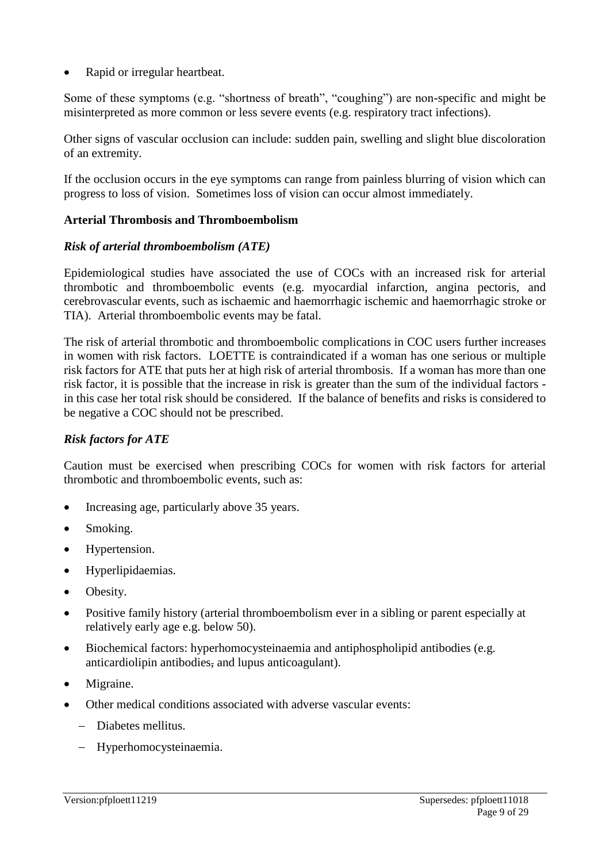Rapid or irregular heartbeat.

Some of these symptoms (e.g. "shortness of breath", "coughing") are non-specific and might be misinterpreted as more common or less severe events (e.g. respiratory tract infections).

Other signs of vascular occlusion can include: sudden pain, swelling and slight blue discoloration of an extremity.

If the occlusion occurs in the eye symptoms can range from painless blurring of vision which can progress to loss of vision. Sometimes loss of vision can occur almost immediately.

### **Arterial Thrombosis and Thromboembolism**

#### *Risk of arterial thromboembolism (ATE)*

Epidemiological studies have associated the use of COCs with an increased risk for arterial thrombotic and thromboembolic events (e.g. myocardial infarction, angina pectoris, and cerebrovascular events, such as ischaemic and haemorrhagic ischemic and haemorrhagic stroke or TIA). Arterial thromboembolic events may be fatal.

The risk of arterial thrombotic and thromboembolic complications in COC users further increases in women with risk factors. LOETTE is contraindicated if a woman has one serious or multiple risk factors for ATE that puts her at high risk of arterial thrombosis. If a woman has more than one risk factor, it is possible that the increase in risk is greater than the sum of the individual factors in this case her total risk should be considered. If the balance of benefits and risks is considered to be negative a COC should not be prescribed.

#### *Risk factors for ATE*

Caution must be exercised when prescribing COCs for women with risk factors for arterial thrombotic and thromboembolic events, such as:

- Increasing age, particularly above 35 years.
- Smoking.
- Hypertension.
- Hyperlipidaemias.
- Obesity.
- Positive family history (arterial thromboembolism ever in a sibling or parent especially at relatively early age e.g. below 50).
- Biochemical factors: hyperhomocysteinaemia and antiphospholipid antibodies (e.g. anticardiolipin antibodies, and lupus anticoagulant).
- Migraine.
- Other medical conditions associated with adverse vascular events:
	- Diabetes mellitus.
	- Hyperhomocysteinaemia.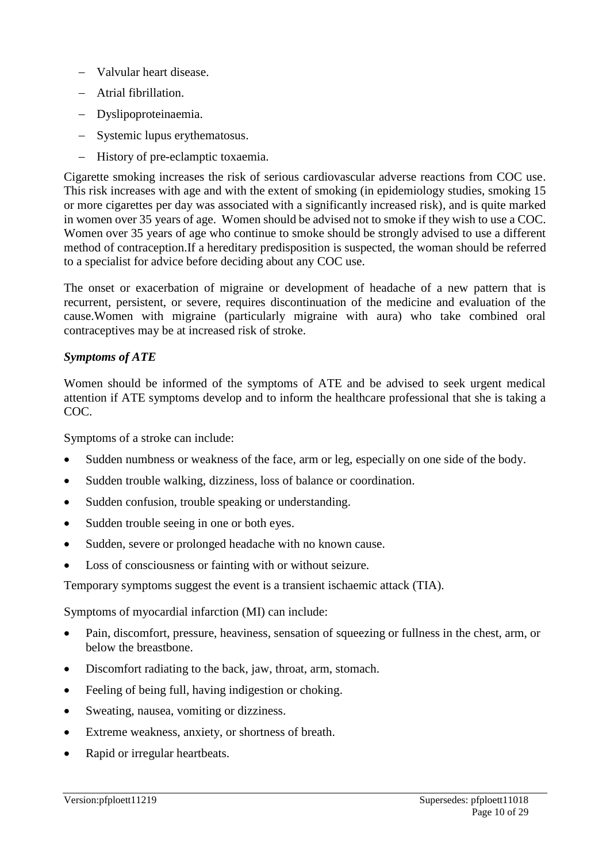- Valvular heart disease.
- Atrial fibrillation.
- Dyslipoproteinaemia.
- Systemic lupus erythematosus.
- History of pre-eclamptic toxaemia.

Cigarette smoking increases the risk of serious cardiovascular adverse reactions from COC use. This risk increases with age and with the extent of smoking (in epidemiology studies, smoking 15 or more cigarettes per day was associated with a significantly increased risk), and is quite marked in women over 35 years of age. Women should be advised not to smoke if they wish to use a COC. Women over 35 years of age who continue to smoke should be strongly advised to use a different method of contraception.If a hereditary predisposition is suspected, the woman should be referred to a specialist for advice before deciding about any COC use.

The onset or exacerbation of migraine or development of headache of a new pattern that is recurrent, persistent, or severe, requires discontinuation of the medicine and evaluation of the cause.Women with migraine (particularly migraine with aura) who take combined oral contraceptives may be at increased risk of stroke.

## *Symptoms of ATE*

Women should be informed of the symptoms of ATE and be advised to seek urgent medical attention if ATE symptoms develop and to inform the healthcare professional that she is taking a COC.

Symptoms of a stroke can include:

- Sudden numbness or weakness of the face, arm or leg, especially on one side of the body.
- Sudden trouble walking, dizziness, loss of balance or coordination.
- Sudden confusion, trouble speaking or understanding.
- Sudden trouble seeing in one or both eyes.
- Sudden, severe or prolonged headache with no known cause.
- Loss of consciousness or fainting with or without seizure.

Temporary symptoms suggest the event is a transient ischaemic attack (TIA).

Symptoms of myocardial infarction (MI) can include:

- Pain, discomfort, pressure, heaviness, sensation of squeezing or fullness in the chest, arm, or below the breastbone.
- Discomfort radiating to the back, jaw, throat, arm, stomach.
- Feeling of being full, having indigestion or choking.
- Sweating, nausea, vomiting or dizziness.
- Extreme weakness, anxiety, or shortness of breath.
- Rapid or irregular heartbeats.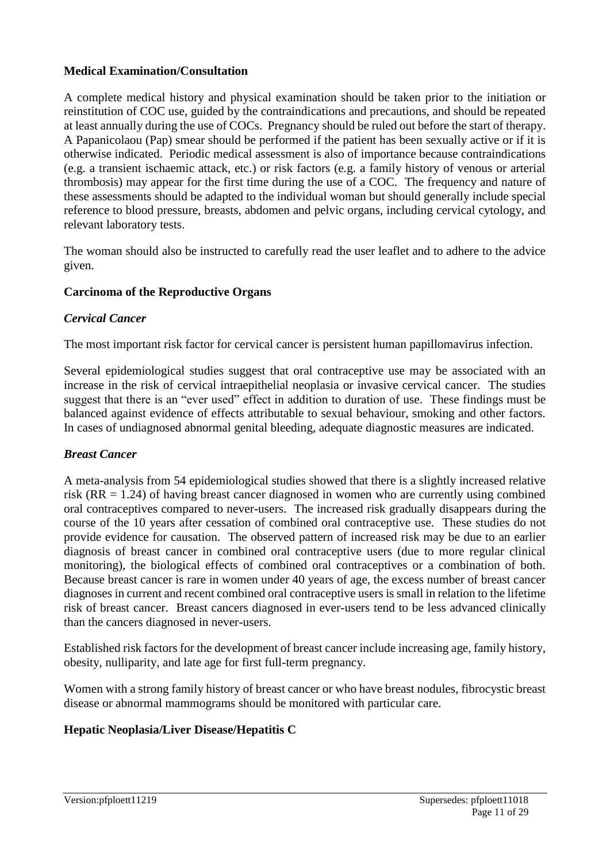## **Medical Examination/Consultation**

A complete medical history and physical examination should be taken prior to the initiation or reinstitution of COC use, guided by the contraindications and precautions, and should be repeated at least annually during the use of COCs. Pregnancy should be ruled out before the start of therapy. A Papanicolaou (Pap) smear should be performed if the patient has been sexually active or if it is otherwise indicated. Periodic medical assessment is also of importance because contraindications (e.g. a transient ischaemic attack, etc.) or risk factors (e.g. a family history of venous or arterial thrombosis) may appear for the first time during the use of a COC. The frequency and nature of these assessments should be adapted to the individual woman but should generally include special reference to blood pressure, breasts, abdomen and pelvic organs, including cervical cytology, and relevant laboratory tests.

The woman should also be instructed to carefully read the user leaflet and to adhere to the advice given.

### **Carcinoma of the Reproductive Organs**

### *Cervical Cancer*

The most important risk factor for cervical cancer is persistent human papillomavirus infection.

Several epidemiological studies suggest that oral contraceptive use may be associated with an increase in the risk of cervical intraepithelial neoplasia or invasive cervical cancer. The studies suggest that there is an "ever used" effect in addition to duration of use. These findings must be balanced against evidence of effects attributable to sexual behaviour, smoking and other factors. In cases of undiagnosed abnormal genital bleeding, adequate diagnostic measures are indicated.

#### *Breast Cancer*

A meta-analysis from 54 epidemiological studies showed that there is a slightly increased relative risk  $(RR = 1.24)$  of having breast cancer diagnosed in women who are currently using combined oral contraceptives compared to never-users. The increased risk gradually disappears during the course of the 10 years after cessation of combined oral contraceptive use. These studies do not provide evidence for causation. The observed pattern of increased risk may be due to an earlier diagnosis of breast cancer in combined oral contraceptive users (due to more regular clinical monitoring), the biological effects of combined oral contraceptives or a combination of both. Because breast cancer is rare in women under 40 years of age, the excess number of breast cancer diagnoses in current and recent combined oral contraceptive users is small in relation to the lifetime risk of breast cancer. Breast cancers diagnosed in ever-users tend to be less advanced clinically than the cancers diagnosed in never-users.

Established risk factors for the development of breast cancer include increasing age, family history, obesity, nulliparity, and late age for first full-term pregnancy.

Women with a strong family history of breast cancer or who have breast nodules, fibrocystic breast disease or abnormal mammograms should be monitored with particular care.

## **Hepatic Neoplasia/Liver Disease/Hepatitis C**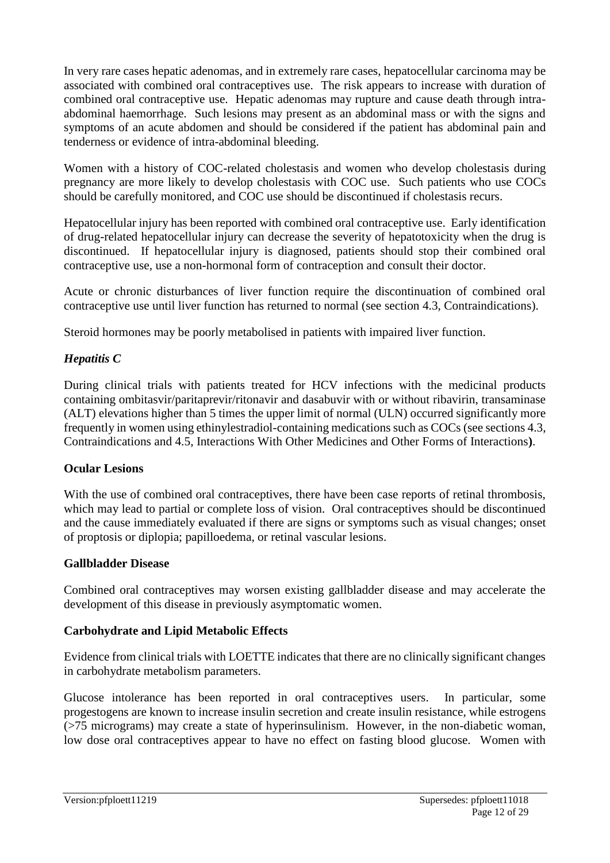In very rare cases hepatic adenomas, and in extremely rare cases, hepatocellular carcinoma may be associated with combined oral contraceptives use. The risk appears to increase with duration of combined oral contraceptive use. Hepatic adenomas may rupture and cause death through intraabdominal haemorrhage. Such lesions may present as an abdominal mass or with the signs and symptoms of an acute abdomen and should be considered if the patient has abdominal pain and tenderness or evidence of intra-abdominal bleeding.

Women with a history of COC-related cholestasis and women who develop cholestasis during pregnancy are more likely to develop cholestasis with COC use. Such patients who use COCs should be carefully monitored, and COC use should be discontinued if cholestasis recurs.

Hepatocellular injury has been reported with combined oral contraceptive use. Early identification of drug-related hepatocellular injury can decrease the severity of hepatotoxicity when the drug is discontinued. If hepatocellular injury is diagnosed, patients should stop their combined oral contraceptive use, use a non-hormonal form of contraception and consult their doctor.

Acute or chronic disturbances of liver function require the discontinuation of combined oral contraceptive use until liver function has returned to normal (see section 4.3, Contraindications).

Steroid hormones may be poorly metabolised in patients with impaired liver function.

## *Hepatitis C*

During clinical trials with patients treated for HCV infections with the medicinal products containing ombitasvir/paritaprevir/ritonavir and dasabuvir with or without ribavirin, transaminase (ALT) elevations higher than 5 times the upper limit of normal (ULN) occurred significantly more frequently in women using ethinylestradiol-containing medications such as COCs (see sections 4.3, Contraindications and 4.5, Interactions With Other Medicines and Other Forms of Interactions**)**.

## **Ocular Lesions**

With the use of combined oral contraceptives, there have been case reports of retinal thrombosis, which may lead to partial or complete loss of vision. Oral contraceptives should be discontinued and the cause immediately evaluated if there are signs or symptoms such as visual changes; onset of proptosis or diplopia; papilloedema, or retinal vascular lesions.

#### **Gallbladder Disease**

Combined oral contraceptives may worsen existing gallbladder disease and may accelerate the development of this disease in previously asymptomatic women.

## **Carbohydrate and Lipid Metabolic Effects**

Evidence from clinical trials with LOETTE indicates that there are no clinically significant changes in carbohydrate metabolism parameters.

Glucose intolerance has been reported in oral contraceptives users. In particular, some progestogens are known to increase insulin secretion and create insulin resistance, while estrogens (>75 micrograms) may create a state of hyperinsulinism. However, in the non-diabetic woman, low dose oral contraceptives appear to have no effect on fasting blood glucose. Women with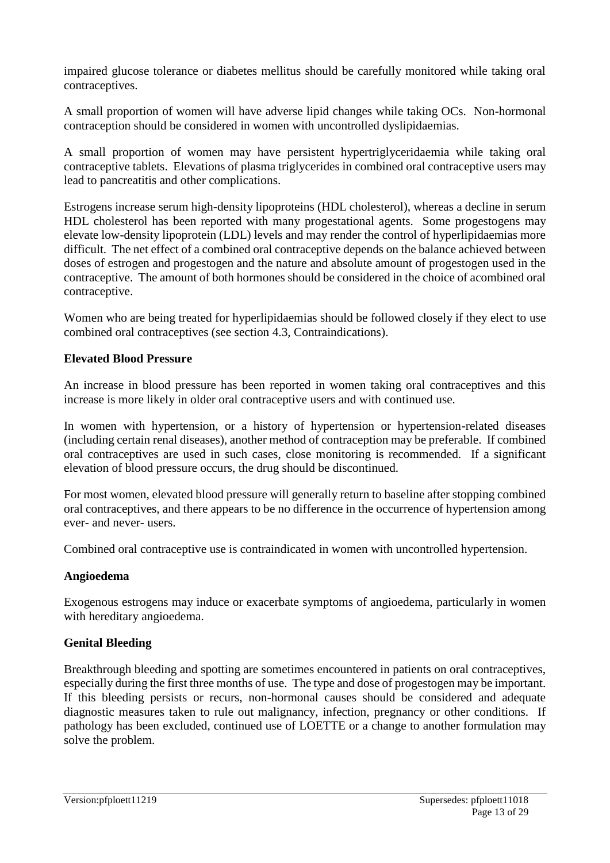impaired glucose tolerance or diabetes mellitus should be carefully monitored while taking oral contraceptives.

A small proportion of women will have adverse lipid changes while taking OCs. Non-hormonal contraception should be considered in women with uncontrolled dyslipidaemias.

A small proportion of women may have persistent hypertriglyceridaemia while taking oral contraceptive tablets. Elevations of plasma triglycerides in combined oral contraceptive users may lead to pancreatitis and other complications.

Estrogens increase serum high-density lipoproteins (HDL cholesterol), whereas a decline in serum HDL cholesterol has been reported with many progestational agents. Some progestogens may elevate low-density lipoprotein (LDL) levels and may render the control of hyperlipidaemias more difficult. The net effect of a combined oral contraceptive depends on the balance achieved between doses of estrogen and progestogen and the nature and absolute amount of progestogen used in the contraceptive. The amount of both hormones should be considered in the choice of acombined oral contraceptive.

Women who are being treated for hyperlipidaemias should be followed closely if they elect to use combined oral contraceptives (see section 4.3, Contraindications).

### **Elevated Blood Pressure**

An increase in blood pressure has been reported in women taking oral contraceptives and this increase is more likely in older oral contraceptive users and with continued use.

In women with hypertension, or a history of hypertension or hypertension-related diseases (including certain renal diseases), another method of contraception may be preferable. If combined oral contraceptives are used in such cases, close monitoring is recommended. If a significant elevation of blood pressure occurs, the drug should be discontinued.

For most women, elevated blood pressure will generally return to baseline after stopping combined oral contraceptives, and there appears to be no difference in the occurrence of hypertension among ever- and never- users.

Combined oral contraceptive use is contraindicated in women with uncontrolled hypertension.

#### **Angioedema**

Exogenous estrogens may induce or exacerbate symptoms of angioedema, particularly in women with hereditary angioedema.

#### **Genital Bleeding**

Breakthrough bleeding and spotting are sometimes encountered in patients on oral contraceptives, especially during the first three months of use. The type and dose of progestogen may be important. If this bleeding persists or recurs, non-hormonal causes should be considered and adequate diagnostic measures taken to rule out malignancy, infection, pregnancy or other conditions. If pathology has been excluded, continued use of LOETTE or a change to another formulation may solve the problem.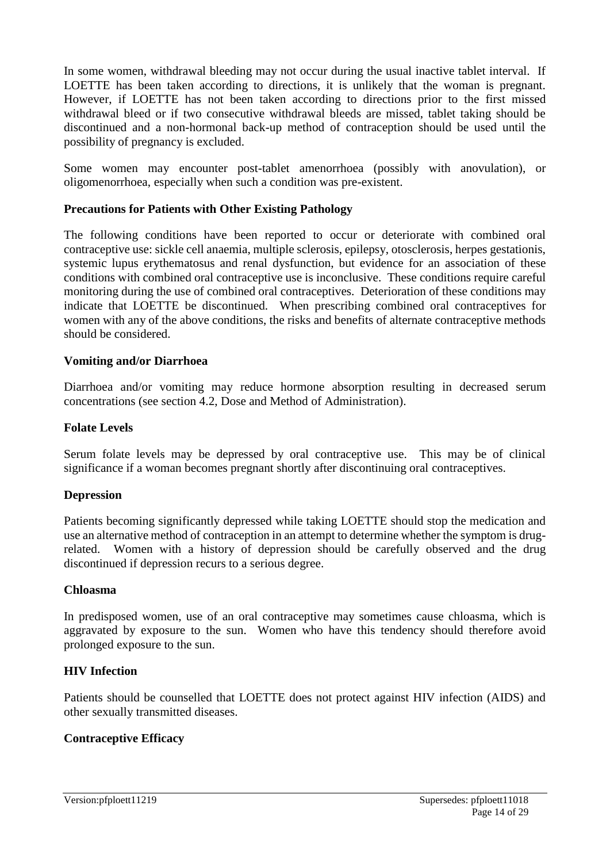In some women, withdrawal bleeding may not occur during the usual inactive tablet interval. If LOETTE has been taken according to directions, it is unlikely that the woman is pregnant. However, if LOETTE has not been taken according to directions prior to the first missed withdrawal bleed or if two consecutive withdrawal bleeds are missed, tablet taking should be discontinued and a non-hormonal back-up method of contraception should be used until the possibility of pregnancy is excluded.

Some women may encounter post-tablet amenorrhoea (possibly with anovulation), or oligomenorrhoea, especially when such a condition was pre-existent.

#### **Precautions for Patients with Other Existing Pathology**

The following conditions have been reported to occur or deteriorate with combined oral contraceptive use: sickle cell anaemia, multiple sclerosis, epilepsy, otosclerosis, herpes gestationis, systemic lupus erythematosus and renal dysfunction, but evidence for an association of these conditions with combined oral contraceptive use is inconclusive. These conditions require careful monitoring during the use of combined oral contraceptives. Deterioration of these conditions may indicate that LOETTE be discontinued. When prescribing combined oral contraceptives for women with any of the above conditions, the risks and benefits of alternate contraceptive methods should be considered.

#### **Vomiting and/or Diarrhoea**

Diarrhoea and/or vomiting may reduce hormone absorption resulting in decreased serum concentrations (see section 4.2, Dose and Method of Administration).

#### **Folate Levels**

Serum folate levels may be depressed by oral contraceptive use. This may be of clinical significance if a woman becomes pregnant shortly after discontinuing oral contraceptives.

#### **Depression**

Patients becoming significantly depressed while taking LOETTE should stop the medication and use an alternative method of contraception in an attempt to determine whether the symptom is drugrelated. Women with a history of depression should be carefully observed and the drug discontinued if depression recurs to a serious degree.

#### **Chloasma**

In predisposed women, use of an oral contraceptive may sometimes cause chloasma, which is aggravated by exposure to the sun. Women who have this tendency should therefore avoid prolonged exposure to the sun.

#### **HIV Infection**

Patients should be counselled that LOETTE does not protect against HIV infection (AIDS) and other sexually transmitted diseases.

#### **Contraceptive Efficacy**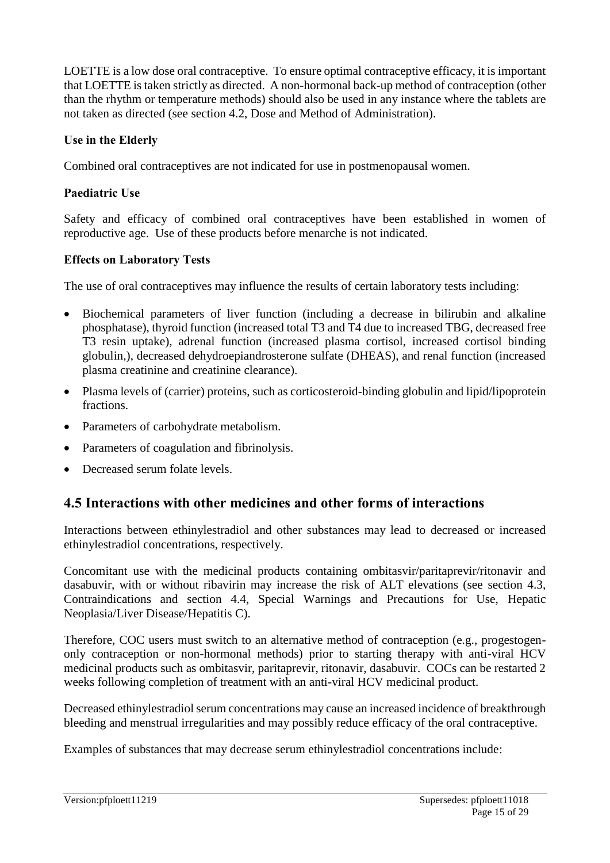LOETTE is a low dose oral contraceptive. To ensure optimal contraceptive efficacy, it is important that LOETTE is taken strictly as directed. A non-hormonal back-up method of contraception (other than the rhythm or temperature methods) should also be used in any instance where the tablets are not taken as directed (see section 4.2, Dose and Method of Administration).

# **Use in the Elderly**

Combined oral contraceptives are not indicated for use in postmenopausal women.

# **Paediatric Use**

Safety and efficacy of combined oral contraceptives have been established in women of reproductive age. Use of these products before menarche is not indicated.

# **Effects on Laboratory Tests**

The use of oral contraceptives may influence the results of certain laboratory tests including:

- Biochemical parameters of liver function (including a decrease in bilirubin and alkaline phosphatase), thyroid function (increased total T3 and T4 due to increased TBG, decreased free T3 resin uptake), adrenal function (increased plasma cortisol, increased cortisol binding globulin,), decreased dehydroepiandrosterone sulfate (DHEAS), and renal function (increased plasma creatinine and creatinine clearance).
- Plasma levels of (carrier) proteins, such as corticosteroid-binding globulin and lipid/lipoprotein fractions.
- Parameters of carbohydrate metabolism.
- Parameters of coagulation and fibrinolysis.
- Decreased serum folate levels.

# **4.5 Interactions with other medicines and other forms of interactions**

Interactions between ethinylestradiol and other substances may lead to decreased or increased ethinylestradiol concentrations, respectively.

Concomitant use with the medicinal products containing ombitasvir/paritaprevir/ritonavir and dasabuvir, with or without ribavirin may increase the risk of ALT elevations (see section 4.3, Contraindications and section 4.4, Special Warnings and Precautions for Use, Hepatic Neoplasia/Liver Disease/Hepatitis C).

Therefore, COC users must switch to an alternative method of contraception (e.g., progestogenonly contraception or non-hormonal methods) prior to starting therapy with anti-viral HCV medicinal products such as ombitasvir, paritaprevir, ritonavir, dasabuvir. COCs can be restarted 2 weeks following completion of treatment with an anti-viral HCV medicinal product.

Decreased ethinylestradiol serum concentrations may cause an increased incidence of breakthrough bleeding and menstrual irregularities and may possibly reduce efficacy of the oral contraceptive.

Examples of substances that may decrease serum ethinylestradiol concentrations include: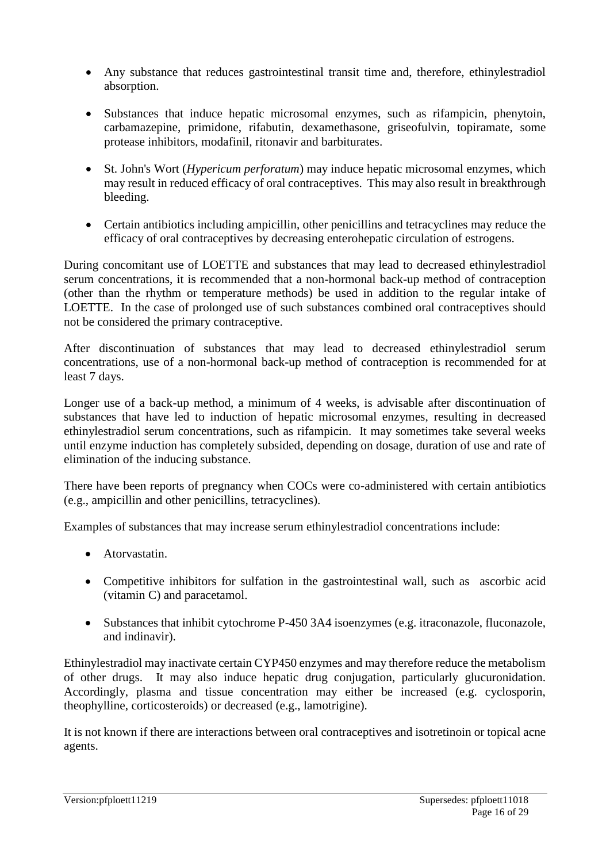- Any substance that reduces gastrointestinal transit time and, therefore, ethinylestradiol absorption.
- Substances that induce hepatic microsomal enzymes, such as rifampicin, phenytoin, carbamazepine, primidone, rifabutin, dexamethasone, griseofulvin, topiramate, some protease inhibitors, modafinil, ritonavir and barbiturates.
- St. John's Wort (*Hypericum perforatum*) may induce hepatic microsomal enzymes, which may result in reduced efficacy of oral contraceptives. This may also result in breakthrough bleeding.
- Certain antibiotics including ampicillin, other penicillins and tetracyclines may reduce the efficacy of oral contraceptives by decreasing enterohepatic circulation of estrogens.

During concomitant use of LOETTE and substances that may lead to decreased ethinylestradiol serum concentrations, it is recommended that a non-hormonal back-up method of contraception (other than the rhythm or temperature methods) be used in addition to the regular intake of LOETTE. In the case of prolonged use of such substances combined oral contraceptives should not be considered the primary contraceptive.

After discontinuation of substances that may lead to decreased ethinylestradiol serum concentrations, use of a non-hormonal back-up method of contraception is recommended for at least 7 days.

Longer use of a back-up method, a minimum of 4 weeks, is advisable after discontinuation of substances that have led to induction of hepatic microsomal enzymes, resulting in decreased ethinylestradiol serum concentrations, such as rifampicin. It may sometimes take several weeks until enzyme induction has completely subsided, depending on dosage, duration of use and rate of elimination of the inducing substance.

There have been reports of pregnancy when COCs were co-administered with certain antibiotics (e.g., ampicillin and other penicillins, tetracyclines).

Examples of substances that may increase serum ethinylestradiol concentrations include:

- Atorvastatin.
- Competitive inhibitors for sulfation in the gastrointestinal wall, such as ascorbic acid (vitamin C) and paracetamol.
- Substances that inhibit cytochrome P-450 3A4 isoenzymes (e.g. itraconazole, fluconazole, and indinavir).

Ethinylestradiol may inactivate certain CYP450 enzymes and may therefore reduce the metabolism of other drugs. It may also induce hepatic drug conjugation, particularly glucuronidation. Accordingly, plasma and tissue concentration may either be increased (e.g. cyclosporin, theophylline, corticosteroids) or decreased (e.g., lamotrigine).

It is not known if there are interactions between oral contraceptives and isotretinoin or topical acne agents.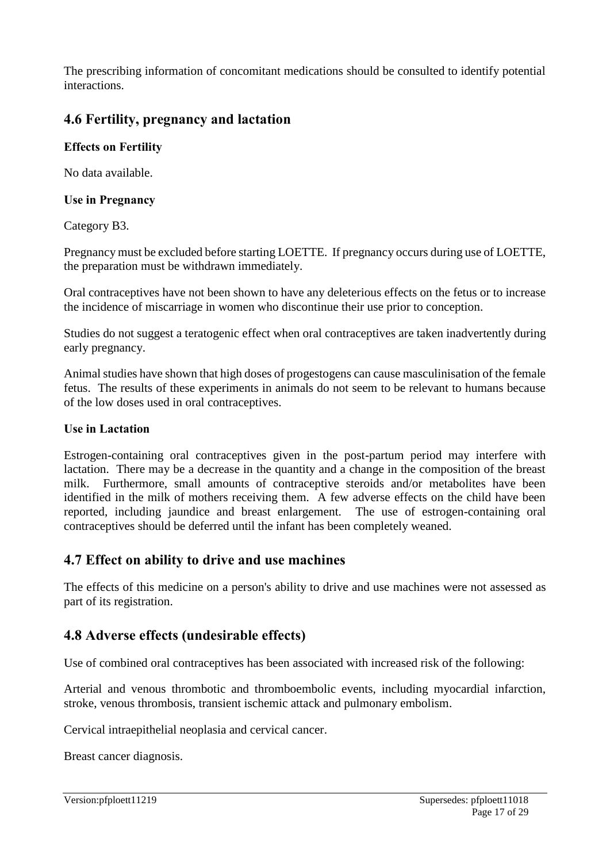The prescribing information of concomitant medications should be consulted to identify potential interactions.

# **4.6 Fertility, pregnancy and lactation**

# **Effects on Fertility**

No data available.

## **Use in Pregnancy**

Category B3.

Pregnancy must be excluded before starting LOETTE. If pregnancy occurs during use of LOETTE, the preparation must be withdrawn immediately.

Oral contraceptives have not been shown to have any deleterious effects on the fetus or to increase the incidence of miscarriage in women who discontinue their use prior to conception.

Studies do not suggest a teratogenic effect when oral contraceptives are taken inadvertently during early pregnancy.

Animal studies have shown that high doses of progestogens can cause masculinisation of the female fetus. The results of these experiments in animals do not seem to be relevant to humans because of the low doses used in oral contraceptives.

### **Use in Lactation**

Estrogen-containing oral contraceptives given in the post-partum period may interfere with lactation. There may be a decrease in the quantity and a change in the composition of the breast milk. Furthermore, small amounts of contraceptive steroids and/or metabolites have been identified in the milk of mothers receiving them. A few adverse effects on the child have been reported, including jaundice and breast enlargement. The use of estrogen-containing oral contraceptives should be deferred until the infant has been completely weaned.

# **4.7 Effect on ability to drive and use machines**

The effects of this medicine on a person's ability to drive and use machines were not assessed as part of its registration.

# **4.8 Adverse effects (undesirable effects)**

Use of combined oral contraceptives has been associated with increased risk of the following:

Arterial and venous thrombotic and thromboembolic events, including myocardial infarction, stroke, venous thrombosis, transient ischemic attack and pulmonary embolism.

Cervical intraepithelial neoplasia and cervical cancer.

Breast cancer diagnosis.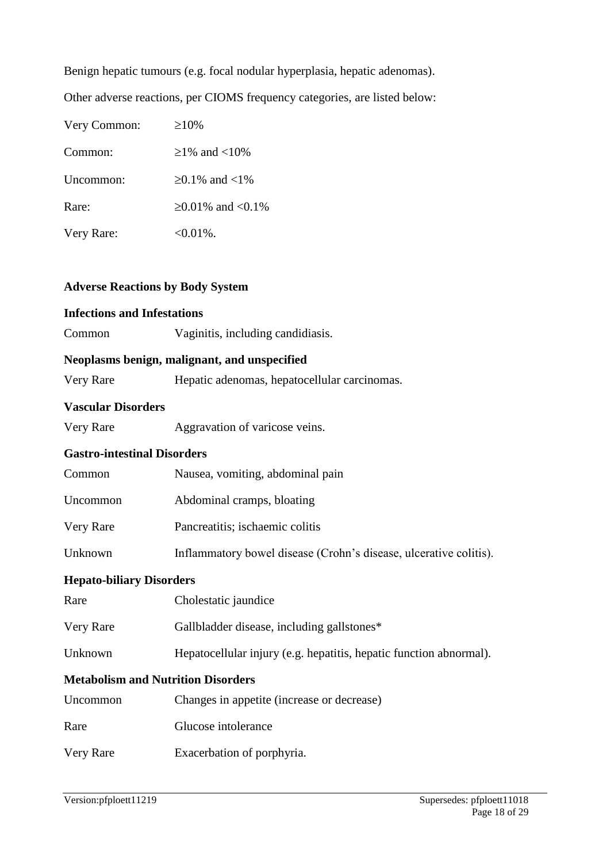Benign hepatic tumours (e.g. focal nodular hyperplasia, hepatic adenomas).

Other adverse reactions, per CIOMS frequency categories, are listed below:

| Very Common: | $\geq 10\%$        |
|--------------|--------------------|
| Common:      | $>1\%$ and $<10\%$ |
| Uncommon:    | ≥0.1\% and <1\%    |
| Rare:        | ≥0.01\% and <0.1\% |
| Very Rare:   | $<0.01\%$ .        |

#### **Adverse Reactions by Body System**

# **Infections and Infestations** Common Vaginitis, including candidiasis. **Neoplasms benign, malignant, and unspecified** Very Rare Hepatic adenomas, hepatocellular carcinomas. **Vascular Disorders** Very Rare Aggravation of varicose veins. **Gastro-intestinal Disorders** Common Nausea, vomiting, abdominal pain Uncommon Abdominal cramps, bloating Very Rare Pancreatitis; ischaemic colitis Unknown Inflammatory bowel disease (Crohn's disease, ulcerative colitis). **Hepato-biliary Disorders** Rare Cholestatic jaundice Very Rare Gallbladder disease, including gallstones\* Unknown Hepatocellular injury (e.g. hepatitis, hepatic function abnormal). **Metabolism and Nutrition Disorders** Uncommon Changes in appetite (increase or decrease) Rare Glucose intolerance Very Rare Exacerbation of porphyria.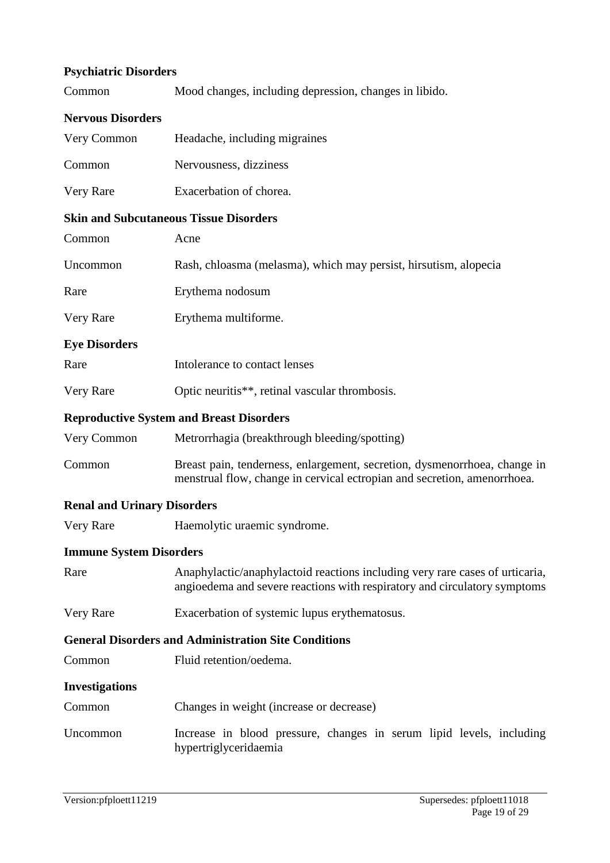# **Psychiatric Disorders**

| Common |  |  |  | Mood changes, including depression, changes in libido. |
|--------|--|--|--|--------------------------------------------------------|
|--------|--|--|--|--------------------------------------------------------|

#### **Nervous Disorders**

| Very Common                                   | Headache, including migraines |
|-----------------------------------------------|-------------------------------|
| Common                                        | Nervousness, dizziness        |
| Very Rare                                     | Exacerbation of chorea.       |
| <b>Skin and Subcutaneous Tissue Disorders</b> |                               |
| mmon                                          | Acne                          |

| COMMITTON                          | AUIC                                                                                                                                                      |
|------------------------------------|-----------------------------------------------------------------------------------------------------------------------------------------------------------|
| Uncommon                           | Rash, chloasma (melasma), which may persist, hirsutism, alopecia                                                                                          |
| Rare                               | Erythema nodosum                                                                                                                                          |
| Very Rare                          | Erythema multiforme.                                                                                                                                      |
| <b>Eye Disorders</b>               |                                                                                                                                                           |
| Rare                               | Intolerance to contact lenses                                                                                                                             |
| Very Rare                          | Optic neuritis**, retinal vascular thrombosis.                                                                                                            |
|                                    | <b>Reproductive System and Breast Disorders</b>                                                                                                           |
| Very Common                        | Metrorrhagia (breakthrough bleeding/spotting)                                                                                                             |
| Common                             | Breast pain, tenderness, enlargement, secretion, dysmenorrhoea, change in<br>menstrual flow, change in cervical ectropian and secretion, amenorrhoea.     |
| <b>Renal and Urinary Disorders</b> |                                                                                                                                                           |
| Very Rare                          | Haemolytic uraemic syndrome.                                                                                                                              |
| <b>Immune System Disorders</b>     |                                                                                                                                                           |
| Rare                               | Anaphylactic/anaphylactoid reactions including very rare cases of urticaria,<br>angioedema and severe reactions with respiratory and circulatory symptoms |
| Very Rare                          | Exacerbation of systemic lupus erythematosus.                                                                                                             |
|                                    | <b>General Disorders and Administration Site Conditions</b>                                                                                               |
| Common                             | Fluid retention/oedema.                                                                                                                                   |
| <b>Investigations</b>              |                                                                                                                                                           |
| Common                             | Changes in weight (increase or decrease)                                                                                                                  |
| Uncommon                           | Increase in blood pressure, changes in serum lipid levels, including<br>hypertriglyceridaemia                                                             |
|                                    |                                                                                                                                                           |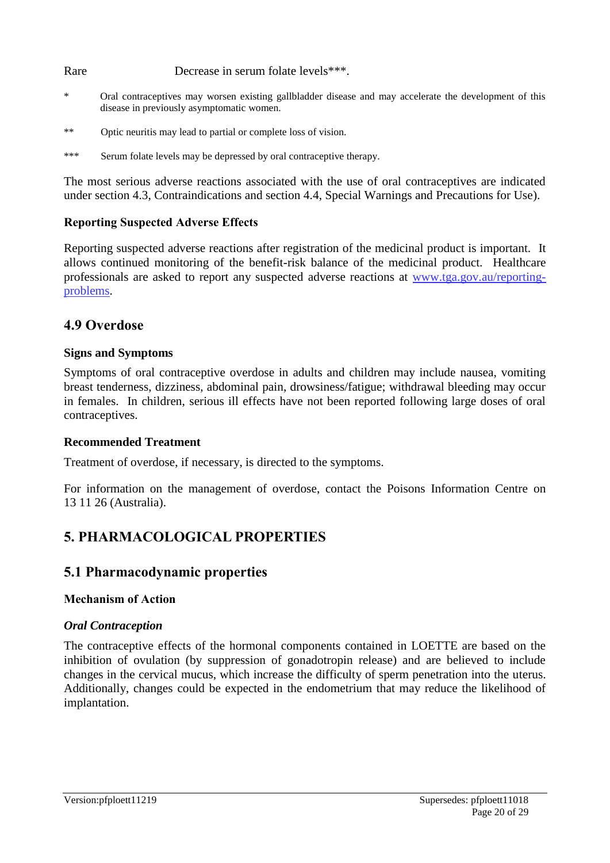Rare Decrease in serum folate levels<sup>\*\*\*</sup>.

- Oral contraceptives may worsen existing gallbladder disease and may accelerate the development of this disease in previously asymptomatic women.
- \*\* Optic neuritis may lead to partial or complete loss of vision.
- \*\*\* Serum folate levels may be depressed by oral contraceptive therapy.

The most serious adverse reactions associated with the use of oral contraceptives are indicated under section 4.3, Contraindications and section 4.4, Special Warnings and Precautions for Use).

### **Reporting Suspected Adverse Effects**

Reporting suspected adverse reactions after registration of the medicinal product is important. It allows continued monitoring of the benefit-risk balance of the medicinal product. Healthcare professionals are asked to report any suspected adverse reactions at [www.tga.gov.au/reporting](http://www.tga.gov.au/reporting-problems)[problems.](http://www.tga.gov.au/reporting-problems)

# **4.9 Overdose**

#### **Signs and Symptoms**

Symptoms of oral contraceptive overdose in adults and children may include nausea, vomiting breast tenderness, dizziness, abdominal pain, drowsiness/fatigue; withdrawal bleeding may occur in females. In children, serious ill effects have not been reported following large doses of oral contraceptives.

#### **Recommended Treatment**

Treatment of overdose, if necessary, is directed to the symptoms.

For information on the management of overdose, contact the Poisons Information Centre on 13 11 26 (Australia).

# **5. PHARMACOLOGICAL PROPERTIES**

## **5.1 Pharmacodynamic properties**

#### **Mechanism of Action**

#### *Oral Contraception*

The contraceptive effects of the hormonal components contained in LOETTE are based on the inhibition of ovulation (by suppression of gonadotropin release) and are believed to include changes in the cervical mucus, which increase the difficulty of sperm penetration into the uterus. Additionally, changes could be expected in the endometrium that may reduce the likelihood of implantation.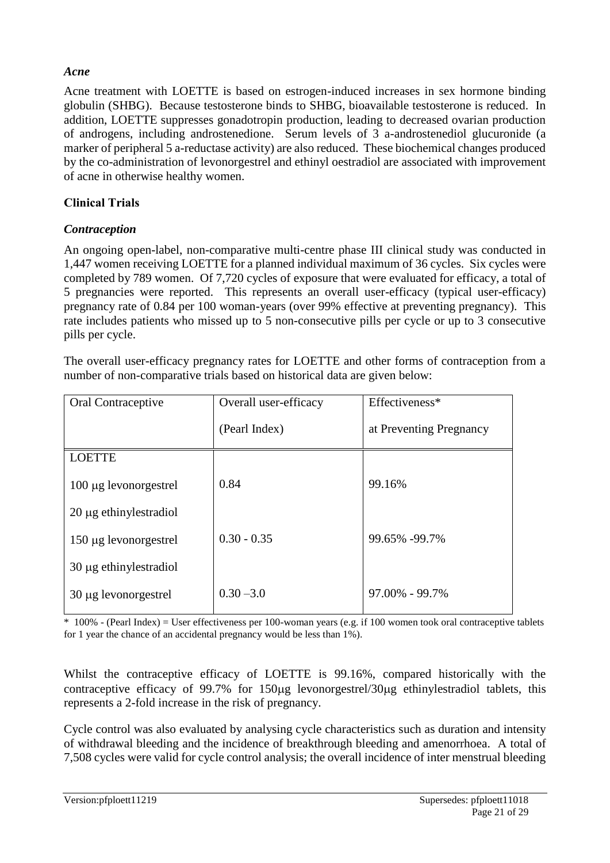## *Acne*

Acne treatment with LOETTE is based on estrogen-induced increases in sex hormone binding globulin (SHBG). Because testosterone binds to SHBG, bioavailable testosterone is reduced. In addition, LOETTE suppresses gonadotropin production, leading to decreased ovarian production of androgens, including androstenedione. Serum levels of 3 a-androstenediol glucuronide (a marker of peripheral 5 a-reductase activity) are also reduced. These biochemical changes produced by the co-administration of levonorgestrel and ethinyl oestradiol are associated with improvement of acne in otherwise healthy women.

# **Clinical Trials**

## *Contraception*

An ongoing open-label, non-comparative multi-centre phase III clinical study was conducted in 1,447 women receiving LOETTE for a planned individual maximum of 36 cycles. Six cycles were completed by 789 women. Of 7,720 cycles of exposure that were evaluated for efficacy, a total of 5 pregnancies were reported. This represents an overall user-efficacy (typical user-efficacy) pregnancy rate of 0.84 per 100 woman-years (over 99% effective at preventing pregnancy). This rate includes patients who missed up to 5 non-consecutive pills per cycle or up to 3 consecutive pills per cycle.

The overall user-efficacy pregnancy rates for LOETTE and other forms of contraception from a number of non-comparative trials based on historical data are given below:

| Oral Contraceptive          | Overall user-efficacy | Effectiveness*          |
|-----------------------------|-----------------------|-------------------------|
|                             | (Pearl Index)         | at Preventing Pregnancy |
| <b>LOETTE</b>               |                       |                         |
| $100 \mu$ g levonorgestrel  | 0.84                  | 99.16%                  |
| $20 \mu$ g ethinylestradiol |                       |                         |
| 150 µg levonorgestrel       | $0.30 - 0.35$         | 99.65% -99.7%           |
| $30 \mu$ g ethinylestradiol |                       |                         |
| 30 µg levonorgestrel        | $0.30 - 3.0$          | $97.00\% - 99.7\%$      |

\* 100% - (Pearl Index) = User effectiveness per 100-woman years (e.g. if 100 women took oral contraceptive tablets for 1 year the chance of an accidental pregnancy would be less than 1%).

Whilst the contraceptive efficacy of LOETTE is 99.16%, compared historically with the contraceptive efficacy of 99.7% for 150µg levonorgestrel/30µg ethinylestradiol tablets, this represents a 2-fold increase in the risk of pregnancy.

Cycle control was also evaluated by analysing cycle characteristics such as duration and intensity of withdrawal bleeding and the incidence of breakthrough bleeding and amenorrhoea. A total of 7,508 cycles were valid for cycle control analysis; the overall incidence of inter menstrual bleeding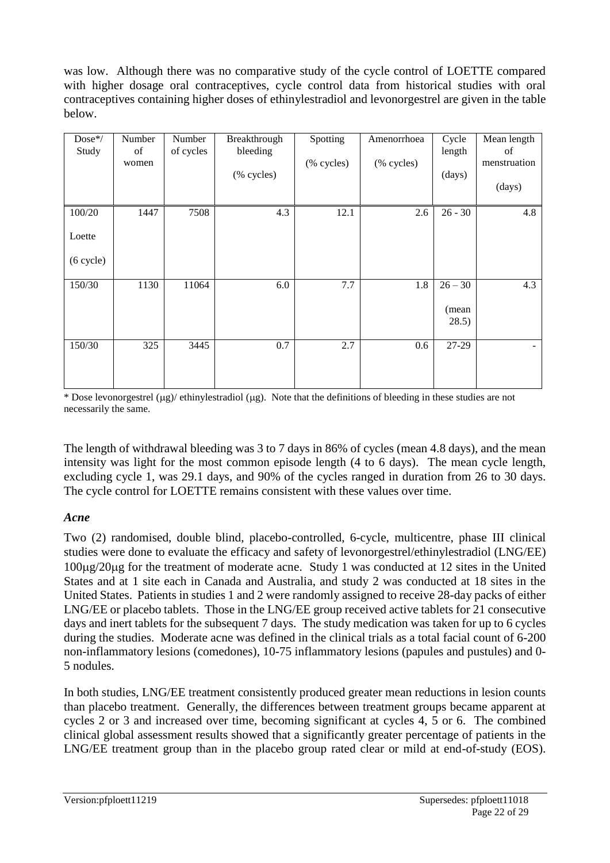was low. Although there was no comparative study of the cycle control of LOETTE compared with higher dosage oral contraceptives, cycle control data from historical studies with oral contraceptives containing higher doses of ethinylestradiol and levonorgestrel are given in the table below.

| Dose*/<br>Study               | Number<br>of<br>women | Number<br>of cycles | Breakthrough<br>bleeding<br>(% cycles) | Spotting<br>(% cycles) | Amenorrhoea<br>(% cycles) | Cycle<br>length<br>(days)   | Mean length<br>of<br>menstruation<br>(days) |
|-------------------------------|-----------------------|---------------------|----------------------------------------|------------------------|---------------------------|-----------------------------|---------------------------------------------|
| 100/20<br>Loette<br>(6 cycle) | 1447                  | 7508                | 4.3                                    | 12.1                   | 2.6                       | $26 - 30$                   | 4.8                                         |
| 150/30                        | 1130                  | 11064               | 6.0                                    | 7.7                    | 1.8                       | $26 - 30$<br>(mean<br>28.5) | 4.3                                         |
| 150/30                        | 325                   | 3445                | $0.7\,$                                | 2.7                    | 0.6                       | 27-29                       |                                             |

\* Dose levonorgestrel  $(\mu g)$ / ethinylestradiol  $(\mu g)$ . Note that the definitions of bleeding in these studies are not necessarily the same.

The length of withdrawal bleeding was 3 to 7 days in 86% of cycles (mean 4.8 days), and the mean intensity was light for the most common episode length (4 to 6 days). The mean cycle length, excluding cycle 1, was 29.1 days, and 90% of the cycles ranged in duration from 26 to 30 days. The cycle control for LOETTE remains consistent with these values over time.

## *Acne*

Two (2) randomised, double blind, placebo-controlled, 6-cycle, multicentre, phase III clinical studies were done to evaluate the efficacy and safety of levonorgestrel/ethinylestradiol (LNG/EE) 100g/20g for the treatment of moderate acne. Study 1 was conducted at 12 sites in the United States and at 1 site each in Canada and Australia, and study 2 was conducted at 18 sites in the United States. Patients in studies 1 and 2 were randomly assigned to receive 28-day packs of either LNG/EE or placebo tablets. Those in the LNG/EE group received active tablets for 21 consecutive days and inert tablets for the subsequent 7 days. The study medication was taken for up to 6 cycles during the studies. Moderate acne was defined in the clinical trials as a total facial count of 6-200 non-inflammatory lesions (comedones), 10-75 inflammatory lesions (papules and pustules) and 0- 5 nodules.

In both studies, LNG/EE treatment consistently produced greater mean reductions in lesion counts than placebo treatment. Generally, the differences between treatment groups became apparent at cycles 2 or 3 and increased over time, becoming significant at cycles 4, 5 or 6. The combined clinical global assessment results showed that a significantly greater percentage of patients in the LNG/EE treatment group than in the placebo group rated clear or mild at end-of-study (EOS).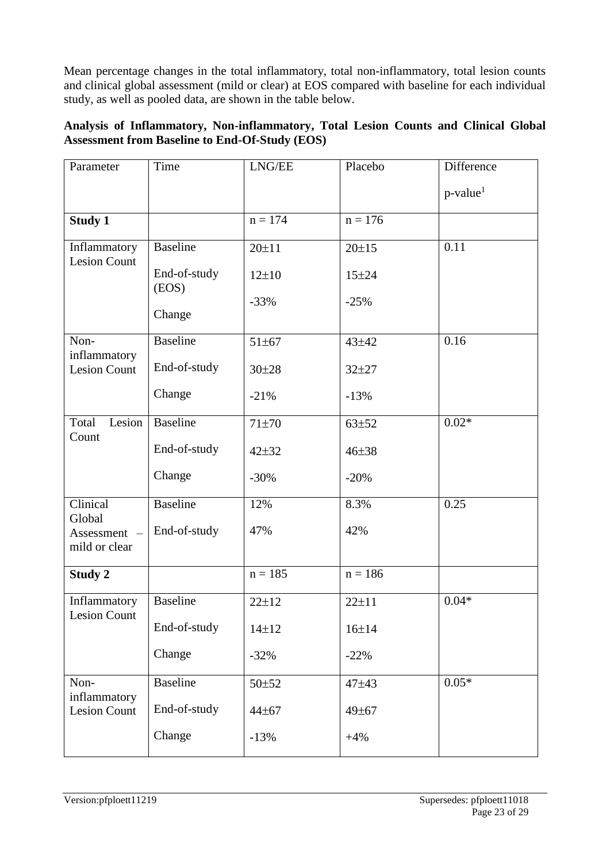Mean percentage changes in the total inflammatory, total non-inflammatory, total lesion counts and clinical global assessment (mild or clear) at EOS compared with baseline for each individual study, as well as pooled data, are shown in the table below.

# **Analysis of Inflammatory, Non-inflammatory, Total Lesion Counts and Clinical Global Assessment from Baseline to End-Of-Study (EOS)**

| Parameter                           | Time                  | $\ensuremath{\mathrm{LNG}/\mathrm{EE}}$ | Placebo     | Difference              |
|-------------------------------------|-----------------------|-----------------------------------------|-------------|-------------------------|
|                                     |                       |                                         |             | $p$ -value <sup>1</sup> |
| <b>Study 1</b>                      |                       | $n = 174$                               | $n = 176$   |                         |
| Inflammatory<br><b>Lesion Count</b> | <b>Baseline</b>       | $20 + 11$                               | $20 \pm 15$ | 0.11                    |
|                                     | End-of-study<br>(EOS) | $12 + 10$                               | $15 + 24$   |                         |
|                                     | Change                | $-33%$                                  | $-25%$      |                         |
| Non-<br>inflammatory                | <b>Baseline</b>       | $51 \pm 67$                             | 43±42       | 0.16                    |
| <b>Lesion Count</b>                 | End-of-study          | $30 \pm 28$                             | $32 + 27$   |                         |
|                                     | Change                | $-21%$                                  | $-13%$      |                         |
| Lesion<br>Total<br>Count            | <b>Baseline</b>       | $71 + 70$                               | $63 + 52$   | $0.02*$                 |
|                                     | End-of-study          | $42 + 32$                               | $46 + 38$   |                         |
|                                     | Change                | $-30%$                                  | $-20%$      |                         |
| Clinical<br>Global                  | <b>Baseline</b>       | 12%                                     | 8.3%        | 0.25                    |
| Assessment -<br>mild or clear       | End-of-study          | 47%                                     | 42%         |                         |
| <b>Study 2</b>                      |                       | $n = 185$                               | $n = 186$   |                         |
| Inflammatory<br><b>Lesion Count</b> | <b>Baseline</b>       | $22 \pm 12$                             | $22 + 11$   | $0.04*$                 |
|                                     | End-of-study          | $14 + 12$                               | $16 + 14$   |                         |
|                                     | Change                | $-32%$                                  | $-22%$      |                         |
| Non-<br>inflammatory                | <b>Baseline</b>       | 50±52                                   | 47±43       | $0.05*$                 |
| <b>Lesion Count</b>                 | End-of-study          | 44±67                                   | 49±67       |                         |
|                                     | Change                | $-13%$                                  | $+4%$       |                         |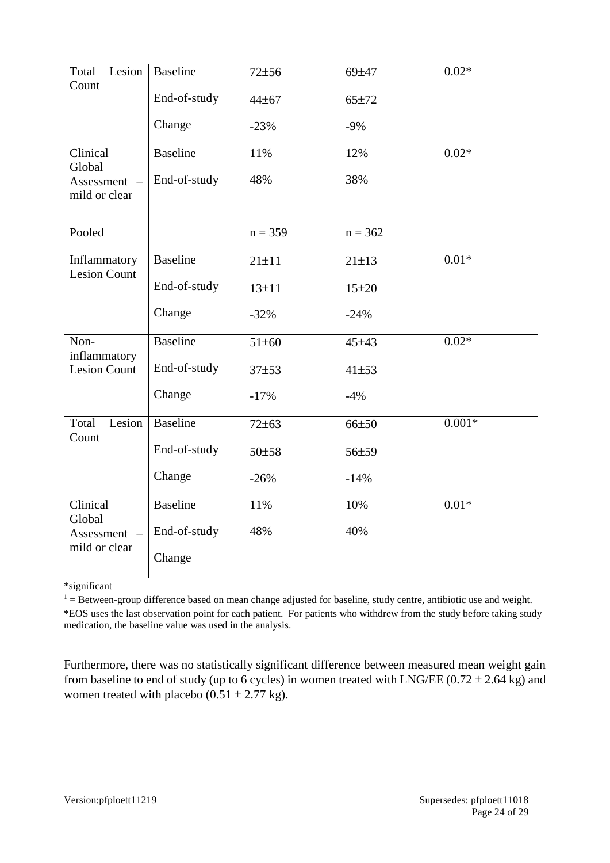| Total<br>Lesion                     | Baseline        | $72 + 56$   | 69±47       | $0.02*$  |
|-------------------------------------|-----------------|-------------|-------------|----------|
| Count                               | End-of-study    | 44±67       | 65±72       |          |
|                                     |                 |             |             |          |
|                                     | Change          | $-23%$      | $-9%$       |          |
| Clinical                            | <b>Baseline</b> | 11%         | 12%         | $0.02*$  |
| Global                              | End-of-study    | 48%         | 38%         |          |
| Assessment -<br>mild or clear       |                 |             |             |          |
|                                     |                 |             |             |          |
| Pooled                              |                 | $n = 359$   | $n = 362$   |          |
| Inflammatory                        | <b>Baseline</b> | $21 \pm 11$ | $21 \pm 13$ | $0.01*$  |
| <b>Lesion Count</b>                 | End-of-study    | $13 + 11$   | $15 + 20$   |          |
|                                     | Change          | $-32%$      | $-24%$      |          |
| Non-                                | Baseline        | 51±60       | 45±43       | $0.02*$  |
| inflammatory<br><b>Lesion Count</b> | End-of-study    | $37 + 53$   | $41 + 53$   |          |
|                                     | Change          | $-17%$      | $-4%$       |          |
| Lesion<br>Total<br>Count            | <b>Baseline</b> | $72 \pm 63$ | 66±50       | $0.001*$ |
|                                     | End-of-study    | 50±58       | 56±59       |          |
|                                     | Change          | $-26%$      | $-14%$      |          |
| Clinical                            | <b>Baseline</b> | 11%         | 10%         | $0.01*$  |
| Global<br>Assessment -              | End-of-study    | 48%         | 40%         |          |
| mild or clear                       | Change          |             |             |          |

\*significant

 $1 =$  Between-group difference based on mean change adjusted for baseline, study centre, antibiotic use and weight. \*EOS uses the last observation point for each patient. For patients who withdrew from the study before taking study medication, the baseline value was used in the analysis.

Furthermore, there was no statistically significant difference between measured mean weight gain from baseline to end of study (up to 6 cycles) in women treated with LNG/EE ( $0.72 \pm 2.64$  kg) and women treated with placebo ( $0.51 \pm 2.77$  kg).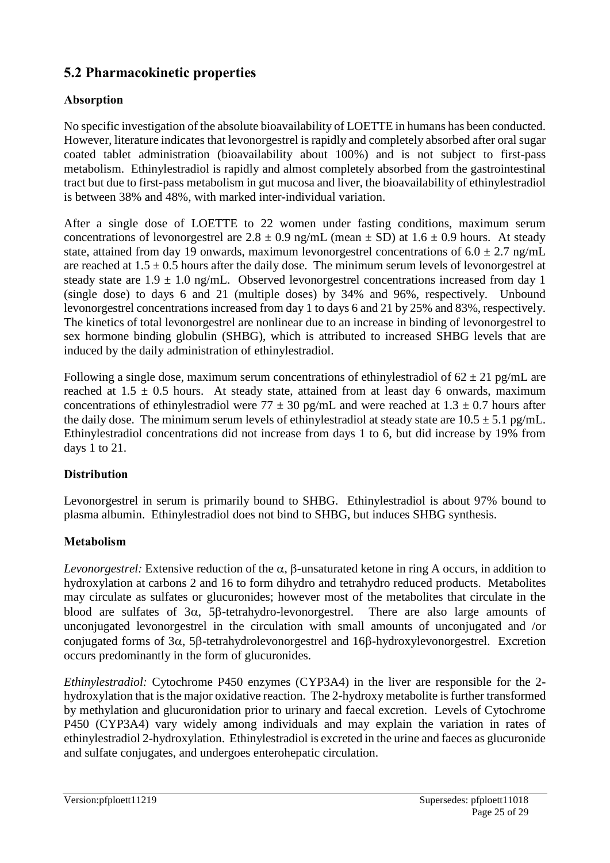# **5.2 Pharmacokinetic properties**

# **Absorption**

No specific investigation of the absolute bioavailability of LOETTE in humans has been conducted. However, literature indicates that levonorgestrel is rapidly and completely absorbed after oral sugar coated tablet administration (bioavailability about 100%) and is not subject to first-pass metabolism. Ethinylestradiol is rapidly and almost completely absorbed from the gastrointestinal tract but due to first-pass metabolism in gut mucosa and liver, the bioavailability of ethinylestradiol is between 38% and 48%, with marked inter-individual variation.

After a single dose of LOETTE to 22 women under fasting conditions, maximum serum concentrations of levonorgestrel are  $2.8 \pm 0.9$  ng/mL (mean  $\pm$  SD) at 1.6  $\pm$  0.9 hours. At steady state, attained from day 19 onwards, maximum levonorgestrel concentrations of  $6.0 \pm 2.7$  ng/mL are reached at  $1.5 \pm 0.5$  hours after the daily dose. The minimum serum levels of levonorgestrel at steady state are  $1.9 \pm 1.0$  ng/mL. Observed levonorgestrel concentrations increased from day 1 (single dose) to days 6 and 21 (multiple doses) by 34% and 96%, respectively. Unbound levonorgestrel concentrations increased from day 1 to days 6 and 21 by 25% and 83%, respectively. The kinetics of total levonorgestrel are nonlinear due to an increase in binding of levonorgestrel to sex hormone binding globulin (SHBG), which is attributed to increased SHBG levels that are induced by the daily administration of ethinylestradiol.

Following a single dose, maximum serum concentrations of ethinylestradiol of  $62 \pm 21$  pg/mL are reached at  $1.5 \pm 0.5$  hours. At steady state, attained from at least day 6 onwards, maximum concentrations of ethinylestradiol were  $77 \pm 30$  pg/mL and were reached at  $1.3 \pm 0.7$  hours after the daily dose. The minimum serum levels of ethinylestradiol at steady state are  $10.5 \pm 5.1$  pg/mL. Ethinylestradiol concentrations did not increase from days 1 to 6, but did increase by 19% from days 1 to 21.

# **Distribution**

Levonorgestrel in serum is primarily bound to SHBG. Ethinylestradiol is about 97% bound to plasma albumin. Ethinylestradiol does not bind to SHBG, but induces SHBG synthesis.

# **Metabolism**

*Levonorgestrel:* Extensive reduction of the  $\alpha$ ,  $\beta$ -unsaturated ketone in ring A occurs, in addition to hydroxylation at carbons 2 and 16 to form dihydro and tetrahydro reduced products. Metabolites may circulate as sulfates or glucuronides; however most of the metabolites that circulate in the blood are sulfates of  $3\alpha$ ,  $5\beta$ -tetrahydro-levonorgestrel. There are also large amounts of unconjugated levonorgestrel in the circulation with small amounts of unconjugated and /or conjugated forms of  $3\alpha$ ,  $5\beta$ -tetrahydrolevonorgestrel and  $16\beta$ -hydroxylevonorgestrel. Excretion occurs predominantly in the form of glucuronides.

*Ethinylestradiol:* Cytochrome P450 enzymes (CYP3A4) in the liver are responsible for the 2 hydroxylation that is the major oxidative reaction. The 2-hydroxy metabolite is further transformed by methylation and glucuronidation prior to urinary and faecal excretion. Levels of Cytochrome P450 (CYP3A4) vary widely among individuals and may explain the variation in rates of ethinylestradiol 2-hydroxylation. Ethinylestradiol is excreted in the urine and faeces as glucuronide and sulfate conjugates, and undergoes enterohepatic circulation.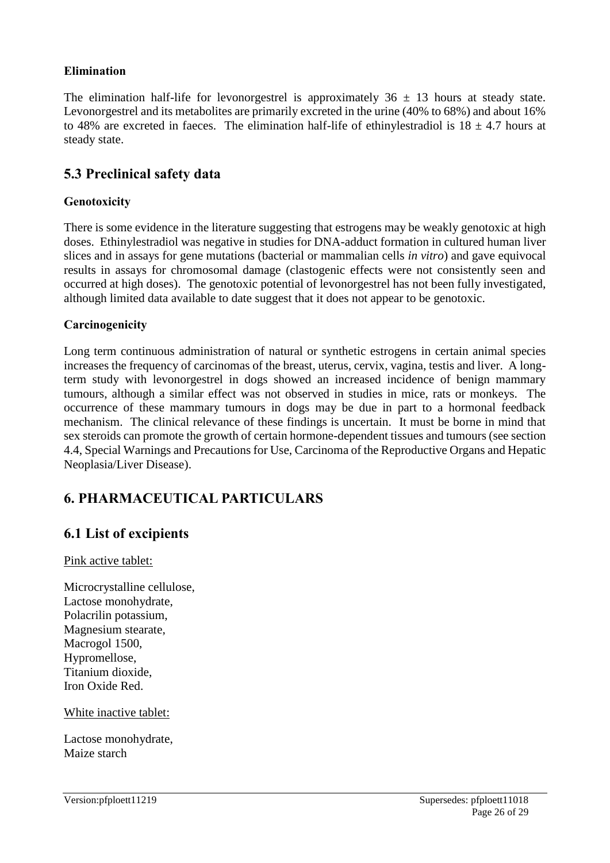## **Elimination**

The elimination half-life for levonorgestrel is approximately  $36 \pm 13$  hours at steady state. Levonorgestrel and its metabolites are primarily excreted in the urine (40% to 68%) and about 16% to 48% are excreted in faeces. The elimination half-life of ethinylestradiol is  $18 \pm 4.7$  hours at steady state.

# **5.3 Preclinical safety data**

### **Genotoxicity**

There is some evidence in the literature suggesting that estrogens may be weakly genotoxic at high doses. Ethinylestradiol was negative in studies for DNA-adduct formation in cultured human liver slices and in assays for gene mutations (bacterial or mammalian cells *in vitro*) and gave equivocal results in assays for chromosomal damage (clastogenic effects were not consistently seen and occurred at high doses). The genotoxic potential of levonorgestrel has not been fully investigated, although limited data available to date suggest that it does not appear to be genotoxic.

### **Carcinogenicity**

Long term continuous administration of natural or synthetic estrogens in certain animal species increases the frequency of carcinomas of the breast, uterus, cervix, vagina, testis and liver. A longterm study with levonorgestrel in dogs showed an increased incidence of benign mammary tumours, although a similar effect was not observed in studies in mice, rats or monkeys. The occurrence of these mammary tumours in dogs may be due in part to a hormonal feedback mechanism. The clinical relevance of these findings is uncertain. It must be borne in mind that sex steroids can promote the growth of certain hormone-dependent tissues and tumours (see section 4.4, Special Warnings and Precautions for Use, Carcinoma of the Reproductive Organs and Hepatic Neoplasia/Liver Disease).

# **6. PHARMACEUTICAL PARTICULARS**

# **6.1 List of excipients**

Pink active tablet:

Microcrystalline cellulose, Lactose monohydrate, Polacrilin potassium, Magnesium stearate, Macrogol 1500, Hypromellose, Titanium dioxide, Iron Oxide Red.

White inactive tablet:

Lactose monohydrate, Maize starch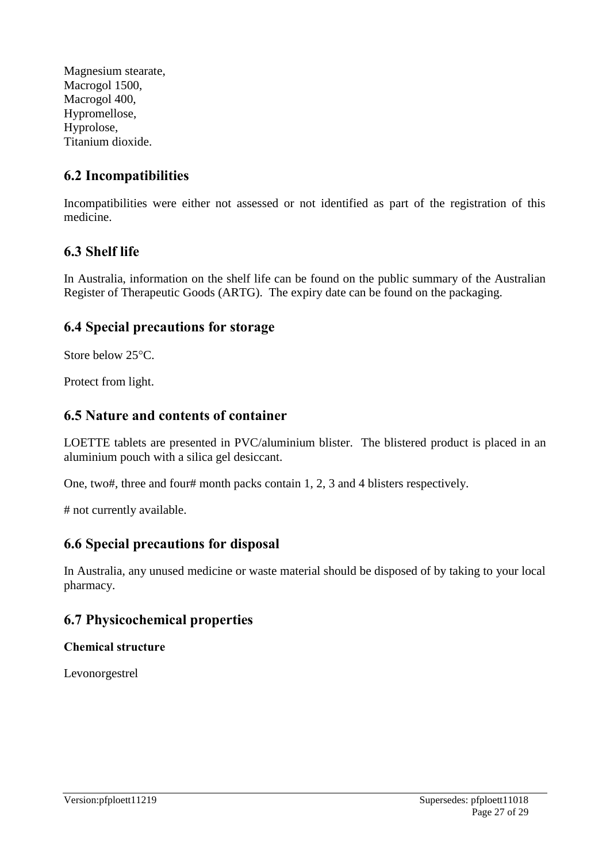Magnesium stearate, Macrogol 1500, Macrogol 400, Hypromellose, Hyprolose, Titanium dioxide.

# **6.2 Incompatibilities**

Incompatibilities were either not assessed or not identified as part of the registration of this medicine.

# **6.3 Shelf life**

In Australia, information on the shelf life can be found on the public summary of the Australian Register of Therapeutic Goods (ARTG). The expiry date can be found on the packaging.

# **6.4 Special precautions for storage**

Store below 25°C.

Protect from light.

# **6.5 Nature and contents of container**

LOETTE tablets are presented in PVC/aluminium blister. The blistered product is placed in an aluminium pouch with a silica gel desiccant.

One, two#, three and four# month packs contain 1, 2, 3 and 4 blisters respectively.

# not currently available.

# **6.6 Special precautions for disposal**

In Australia, any unused medicine or waste material should be disposed of by taking to your local pharmacy.

# **6.7 Physicochemical properties**

## **Chemical structure**

Levonorgestrel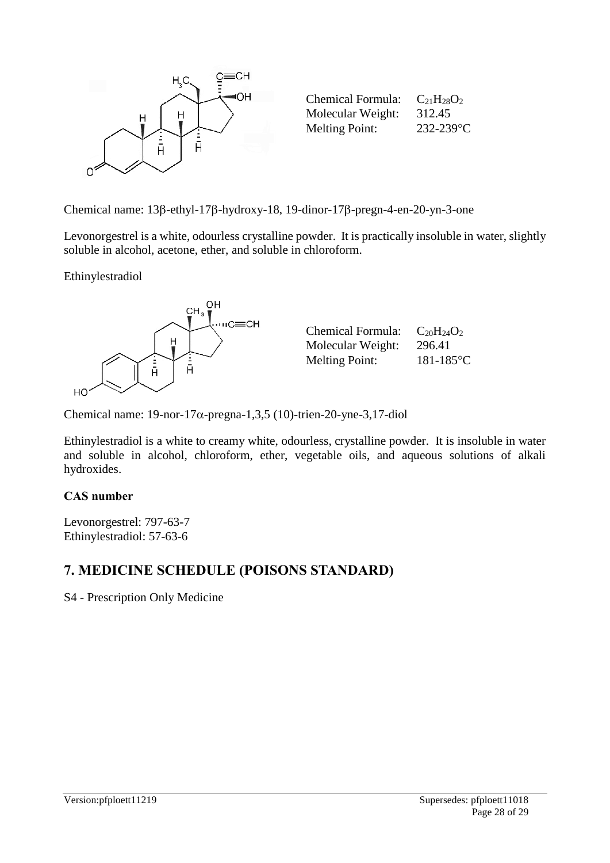

Chemical name:  $13\beta$ -ethyl-17 $\beta$ -hydroxy-18, 19-dinor-17 $\beta$ -pregn-4-en-20-yn-3-one

Levonorgestrel is a white, odourless crystalline powder. It is practically insoluble in water, slightly soluble in alcohol, acetone, ether, and soluble in chloroform.

Ethinylestradiol



| <b>Chemical Formula:</b> | $C_{20}H_{24}O_2$ |
|--------------------------|-------------------|
| Molecular Weight:        | 296.41            |
| <b>Melting Point:</b>    | $181 - 185$ °C    |

Chemical name:  $19$ -nor- $17\alpha$ -pregna-1,3,5 (10)-trien-20-yne-3,17-diol

Ethinylestradiol is a white to creamy white, odourless, crystalline powder. It is insoluble in water and soluble in alcohol, chloroform, ether, vegetable oils, and aqueous solutions of alkali hydroxides.

## **CAS number**

Levonorgestrel: 797-63-7 Ethinylestradiol: 57-63-6

# **7. MEDICINE SCHEDULE (POISONS STANDARD)**

S4 - Prescription Only Medicine